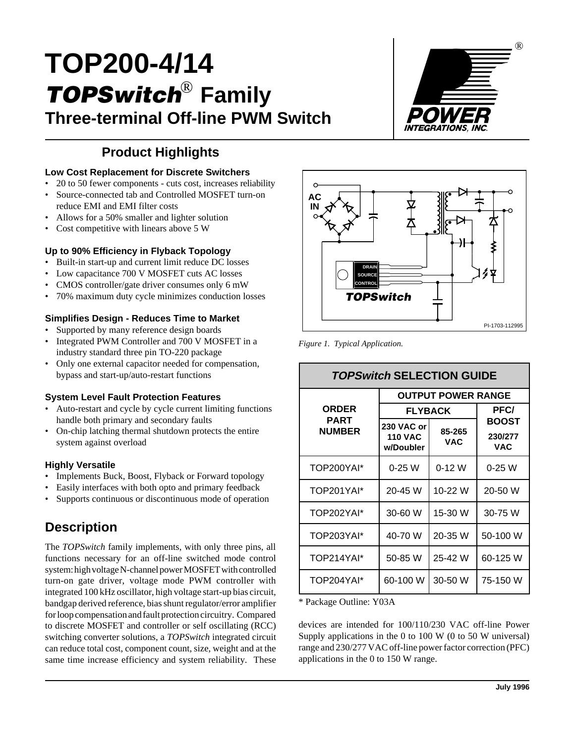# **TOP200-4/14 TOPSwitch Family** ® **Three-terminal Off-line PWM Switch**



### **Product Highlights**

#### **Low Cost Replacement for Discrete Switchers**

- 20 to 50 fewer components cuts cost, increases reliability
- Source-connected tab and Controlled MOSFET turn-on reduce EMI and EMI filter costs
- Allows for a 50% smaller and lighter solution
- Cost competitive with linears above 5 W

#### **Up to 90% Efficiency in Flyback Topology**

- Built-in start-up and current limit reduce DC losses
- Low capacitance 700 V MOSFET cuts AC losses
- CMOS controller/gate driver consumes only 6 mW
- 70% maximum duty cycle minimizes conduction losses

#### **Simplifies Design - Reduces Time to Market**

- Supported by many reference design boards
- Integrated PWM Controller and 700 V MOSFET in a industry standard three pin TO-220 package
- Only one external capacitor needed for compensation, bypass and start-up/auto-restart functions

#### **System Level Fault Protection Features**

- Auto-restart and cycle by cycle current limiting functions handle both primary and secondary faults
- On-chip latching thermal shutdown protects the entire system against overload

#### **Highly Versatile**

- Implements Buck, Boost, Flyback or Forward topology
- Easily interfaces with both opto and primary feedback
- Supports continuous or discontinuous mode of operation

### **Description**

The *TOPSwitch* family implements, with only three pins, all functions necessary for an off-line switched mode control system: high voltage N-channel power MOSFET with controlled turn-on gate driver, voltage mode PWM controller with integrated 100 kHz oscillator, high voltage start-up bias circuit, bandgap derived reference, bias shunt regulator/error amplifier for loop compensation and fault protection circuitry. Compared to discrete MOSFET and controller or self oscillating (RCC) switching converter solutions, a *TOPSwitch* integrated circuit can reduce total cost, component count, size, weight and at the same time increase efficiency and system reliability. These



*Figure 1. Typical Application.*

### **TOPSwitch SELECTION GUIDE**

|                                | <b>OUTPUT POWER RANGE</b>                                         |          |                                       |  |  |  |
|--------------------------------|-------------------------------------------------------------------|----------|---------------------------------------|--|--|--|
| ORDER<br>PART<br><b>NUMBER</b> | <b>FLYBACK</b>                                                    | PFC/     |                                       |  |  |  |
|                                | 230 VAC or<br>85-265<br><b>110 VAC</b><br><b>VAC</b><br>w/Doubler |          | <b>BOOST</b><br>230/277<br><b>VAC</b> |  |  |  |
| TOP200YAI*                     | $0-25W$                                                           | $0-12$ W | 0-25 W                                |  |  |  |
| TOP201YAI*                     | 20-45 W                                                           | 10-22 W  | 20-50 W                               |  |  |  |
| TOP202YAI*                     | 30-60 W                                                           | 15-30 W  | 30-75 W                               |  |  |  |
| TOP203YAI*                     | 40-70 W                                                           | 20-35 W  | 50-100 W                              |  |  |  |
| TOP214YAI*                     | 50-85 W                                                           | 25-42 W  | 60-125 W                              |  |  |  |
| TOP204YAI*                     | 60-100 W                                                          | 30-50 W  | 75-150 W                              |  |  |  |

\* Package Outline: Y03A

devices are intended for 100/110/230 VAC off-line Power Supply applications in the 0 to 100 W (0 to 50 W universal) range and 230/277 VAC off-line power factor correction (PFC) applications in the 0 to 150 W range.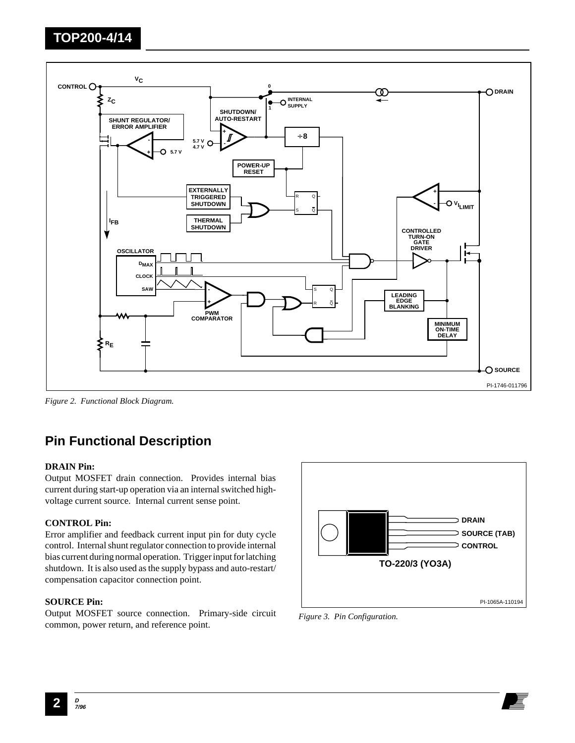

*Figure 2. Functional Block Diagram.*

### **Pin Functional Description**

#### **DRAIN Pin:**

Output MOSFET drain connection. Provides internal bias current during start-up operation via an internal switched highvoltage current source. Internal current sense point.

#### **CONTROL Pin:**

Error amplifier and feedback current input pin for duty cycle control. Internal shunt regulator connection to provide internal bias current during normal operation. Trigger input for latching shutdown. It is also used as the supply bypass and auto-restart/ compensation capacitor connection point.

#### **SOURCE Pin:**

Output MOSFET source connection. Primary-side circuit common, power return, and reference point.



*Figure 3. Pin Configuration.*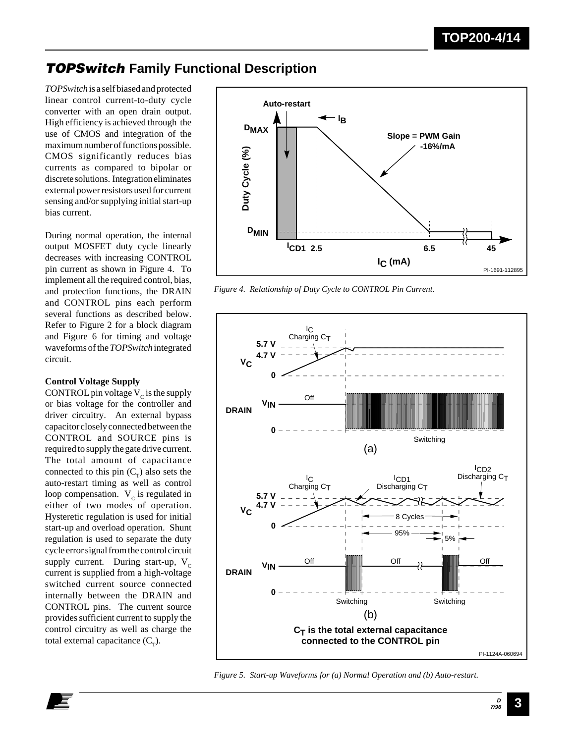### **TOPSwitch Family Functional Description**

*TOPSwitch* is a self biased and protected linear control current-to-duty cycle converter with an open drain output. High efficiency is achieved through the use of CMOS and integration of the maximum number of functions possible. CMOS significantly reduces bias currents as compared to bipolar or discrete solutions. Integration eliminates external power resistors used for current sensing and/or supplying initial start-up bias current.

During normal operation, the internal output MOSFET duty cycle linearly decreases with increasing CONTROL pin current as shown in Figure 4. To implement all the required control, bias, and protection functions, the DRAIN and CONTROL pins each perform several functions as described below. Refer to Figure 2 for a block diagram and Figure 6 for timing and voltage waveforms of the *TOPSwitch* integrated circuit.

#### **Control Voltage Supply**

CONTROL pin voltage  $V_c$  is the supply or bias voltage for the controller and driver circuitry. An external bypass capacitor closely connected between the CONTROL and SOURCE pins is required to supply the gate drive current. The total amount of capacitance connected to this pin  $(C_T)$  also sets the auto-restart timing as well as control loop compensation.  $V_c$  is regulated in either of two modes of operation. Hysteretic regulation is used for initial start-up and overload operation. Shunt regulation is used to separate the duty cycle error signal from the control circuit supply current. During start-up,  $V_c$ current is supplied from a high-voltage switched current source connected internally between the DRAIN and CONTROL pins. The current source provides sufficient current to supply the control circuitry as well as charge the total external capacitance  $(C<sub>r</sub>)$ .



*Figure 4. Relationship of Duty Cycle to CONTROL Pin Current.*



*Figure 5. Start-up Waveforms for (a) Normal Operation and (b) Auto-restart.*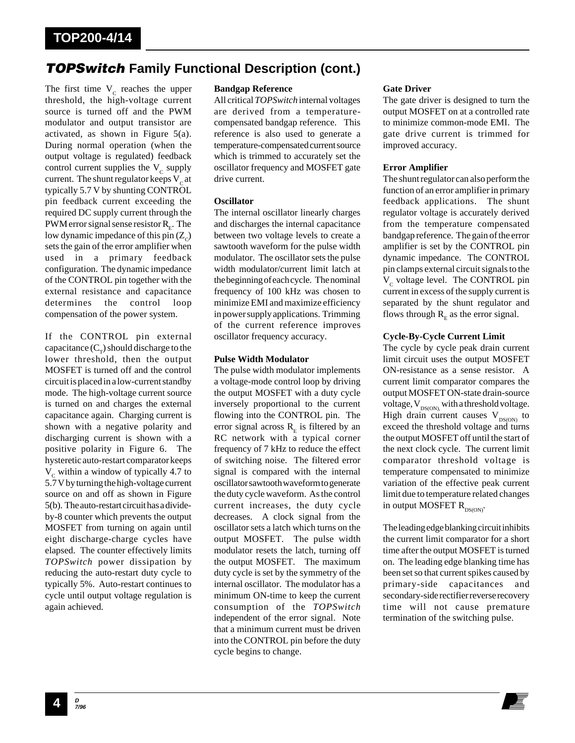### **TOPSwitch Family Functional Description (cont.)**

The first time  $V_c$  reaches the upper threshold, the high-voltage current source is turned off and the PWM modulator and output transistor are activated, as shown in Figure 5(a). During normal operation (when the output voltage is regulated) feedback control current supplies the  $V_c$  supply current. The shunt regulator keeps  $V<sub>c</sub>$  at typically 5.7 V by shunting CONTROL pin feedback current exceeding the required DC supply current through the PWM error signal sense resistor  $R<sub>r</sub>$ . The low dynamic impedance of this pin  $(Z_c)$ sets the gain of the error amplifier when used in a primary feedback configuration. The dynamic impedance of the CONTROL pin together with the external resistance and capacitance determines the control loop compensation of the power system.

If the CONTROL pin external capacitance  $(C_\tau)$  should discharge to the lower threshold, then the output MOSFET is turned off and the control circuit is placed in a low-current standby mode. The high-voltage current source is turned on and charges the external capacitance again. Charging current is shown with a negative polarity and discharging current is shown with a positive polarity in Figure 6. The hysteretic auto-restart comparator keeps  $V_c$  within a window of typically 4.7 to 5.7 V by turning the high-voltage current source on and off as shown in Figure 5(b). The auto-restart circuit has a divideby-8 counter which prevents the output MOSFET from turning on again until eight discharge-charge cycles have elapsed. The counter effectively limits *TOPSwitch* power dissipation by reducing the auto-restart duty cycle to typically 5%. Auto-restart continues to cycle until output voltage regulation is again achieved.

#### **Bandgap Reference**

All critical *TOPSwitch* internal voltages are derived from a temperaturecompensated bandgap reference. This reference is also used to generate a temperature-compensated current source which is trimmed to accurately set the oscillator frequency and MOSFET gate drive current.

#### **Oscillator**

The internal oscillator linearly charges and discharges the internal capacitance between two voltage levels to create a sawtooth waveform for the pulse width modulator. The oscillator sets the pulse width modulator/current limit latch at the beginning of each cycle. The nominal frequency of 100 kHz was chosen to minimize EMI and maximize efficiency in power supply applications. Trimming of the current reference improves oscillator frequency accuracy.

#### **Pulse Width Modulator**

The pulse width modulator implements a voltage-mode control loop by driving the output MOSFET with a duty cycle inversely proportional to the current flowing into the CONTROL pin. The error signal across  $R$ <sub>E</sub> is filtered by an RC network with a typical corner frequency of 7 kHz to reduce the effect of switching noise. The filtered error signal is compared with the internal oscillator sawtooth waveform to generate the duty cycle waveform. As the control current increases, the duty cycle decreases. A clock signal from the oscillator sets a latch which turns on the output MOSFET. The pulse width modulator resets the latch, turning off the output MOSFET. The maximum duty cycle is set by the symmetry of the internal oscillator. The modulator has a minimum ON-time to keep the current consumption of the *TOPSwitch* independent of the error signal. Note that a minimum current must be driven into the CONTROL pin before the duty cycle begins to change.

#### **Gate Driver**

The gate driver is designed to turn the output MOSFET on at a controlled rate to minimize common-mode EMI. The gate drive current is trimmed for improved accuracy.

#### **Error Amplifier**

The shunt regulator can also perform the function of an error amplifier in primary feedback applications. The shunt regulator voltage is accurately derived from the temperature compensated bandgap reference. The gain of the error amplifier is set by the CONTROL pin dynamic impedance. The CONTROL pin clamps external circuit signals to the  $V_c$  voltage level. The CONTROL pin current in excess of the supply current is separated by the shunt regulator and flows through  $R<sub>F</sub>$  as the error signal.

#### **Cycle-By-Cycle Current Limit**

The cycle by cycle peak drain current limit circuit uses the output MOSFET ON-resistance as a sense resistor. A current limit comparator compares the output MOSFET ON-state drain-source voltage,  $V_{DS(ON)}$  with a threshold voltage. High drain current causes  $V_{DS(ON)}$  to exceed the threshold voltage and turns the output MOSFET off until the start of the next clock cycle. The current limit comparator threshold voltage is temperature compensated to minimize variation of the effective peak current limit due to temperature related changes in output MOSFET  $R_{DS(ON)}$ .

The leading edge blanking circuit inhibits the current limit comparator for a short time after the output MOSFET is turned on. The leading edge blanking time has been set so that current spikes caused by primary-side capacitances and secondary-side rectifier reverse recovery time will not cause premature termination of the switching pulse.

**<sup>D</sup> 4 7/96**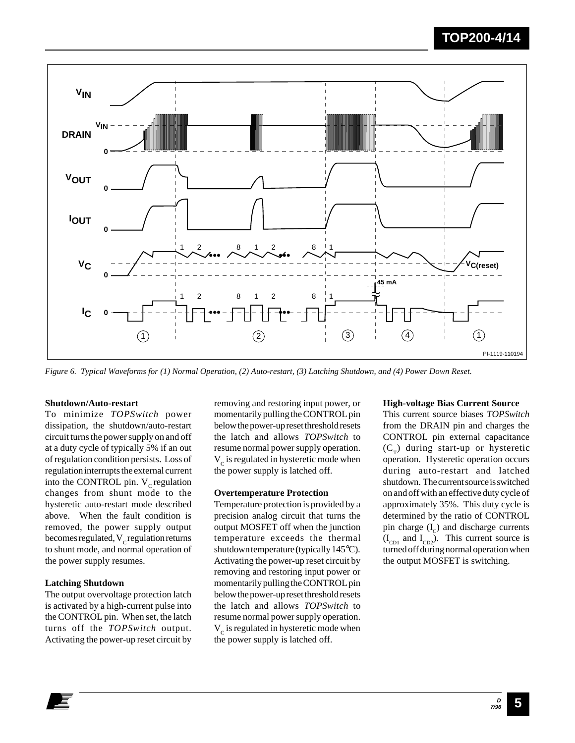

*Figure 6. Typical Waveforms for (1) Normal Operation, (2) Auto-restart, (3) Latching Shutdown, and (4) Power Down Reset.*

#### **Shutdown/Auto-restart**

To minimize *TOPSwitch* power dissipation, the shutdown/auto-restart circuit turns the power supply on and off at a duty cycle of typically 5% if an out of regulation condition persists. Loss of regulation interrupts the external current into the CONTROL pin.  $V_c$  regulation changes from shunt mode to the hysteretic auto-restart mode described above. When the fault condition is removed, the power supply output becomes regulated,  $V_c$  regulation returns to shunt mode, and normal operation of the power supply resumes.

#### **Latching Shutdown**

The output overvoltage protection latch is activated by a high-current pulse into the CONTROL pin. When set, the latch turns off the *TOPSwitch* output. Activating the power-up reset circuit by

removing and restoring input power, or momentarily pulling the CONTROL pin below the power-up reset threshold resets the latch and allows *TOPSwitch* to resume normal power supply operation.  $V_c$  is regulated in hysteretic mode when the power supply is latched off.

#### **Overtemperature Protection**

Temperature protection is provided by a precision analog circuit that turns the output MOSFET off when the junction temperature exceeds the thermal shutdown temperature (typically 145°C). Activating the power-up reset circuit by removing and restoring input power or momentarily pulling the CONTROL pin below the power-up reset threshold resets the latch and allows *TOPSwitch* to resume normal power supply operation.  $V_c$  is regulated in hysteretic mode when the power supply is latched off.

#### **High-voltage Bias Current Source**

This current source biases *TOPSwitch* from the DRAIN pin and charges the CONTROL pin external capacitance  $(C<sub>\tau</sub>)$  during start-up or hysteretic operation. Hysteretic operation occurs during auto-restart and latched shutdown. The current source is switched on and off with an effective duty cycle of approximately 35%. This duty cycle is determined by the ratio of CONTROL pin charge  $(I_c)$  and discharge currents  $(I_{CD1}$  and  $I_{CD2}$ ). This current source is turned off during normal operation when the output MOSFET is switching.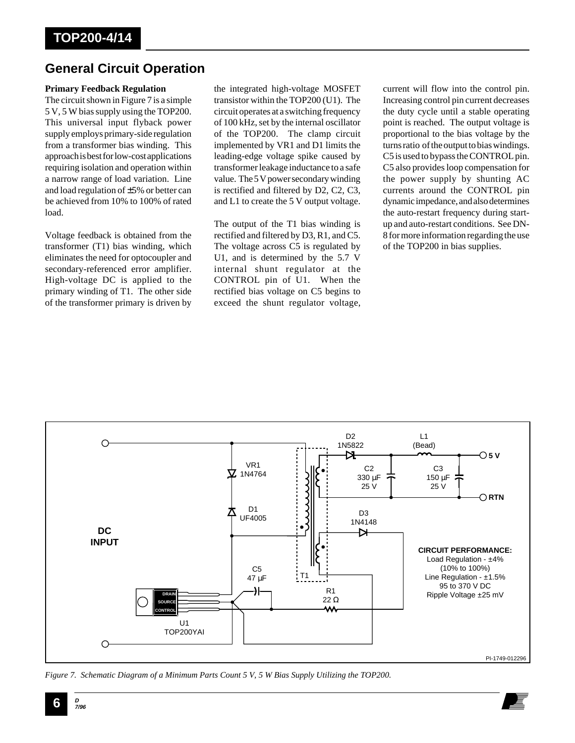### **General Circuit Operation**

#### **Primary Feedback Regulation**

The circuit shown in Figure 7 is a simple 5 V, 5 W bias supply using the TOP200. This universal input flyback power supply employs primary-side regulation from a transformer bias winding. This approach is best for low-cost applications requiring isolation and operation within a narrow range of load variation. Line and load regulation of ±5% or better can be achieved from 10% to 100% of rated load.

Voltage feedback is obtained from the transformer (T1) bias winding, which eliminates the need for optocoupler and secondary-referenced error amplifier. High-voltage DC is applied to the primary winding of T1. The other side of the transformer primary is driven by

the integrated high-voltage MOSFET transistor within the TOP200 (U1). The circuit operates at a switching frequency of 100 kHz, set by the internal oscillator of the TOP200. The clamp circuit implemented by VR1 and D1 limits the leading-edge voltage spike caused by transformer leakage inductance to a safe value. The 5 V power secondary winding is rectified and filtered by D2, C2, C3, and L1 to create the 5 V output voltage.

The output of the T1 bias winding is rectified and filtered by D3, R1, and C5. The voltage across C5 is regulated by U1, and is determined by the 5.7 V internal shunt regulator at the CONTROL pin of U1. When the rectified bias voltage on C5 begins to exceed the shunt regulator voltage,

current will flow into the control pin. Increasing control pin current decreases the duty cycle until a stable operating point is reached. The output voltage is proportional to the bias voltage by the turns ratio of the output to bias windings. C5 is used to bypass the CONTROL pin. C5 also provides loop compensation for the power supply by shunting AC currents around the CONTROL pin dynamic impedance, and also determines the auto-restart frequency during startup and auto-restart conditions. See DN-8 for more information regarding the use of the TOP200 in bias supplies.



*Figure 7. Schematic Diagram of a Minimum Parts Count 5 V, 5 W Bias Supply Utilizing the TOP200.*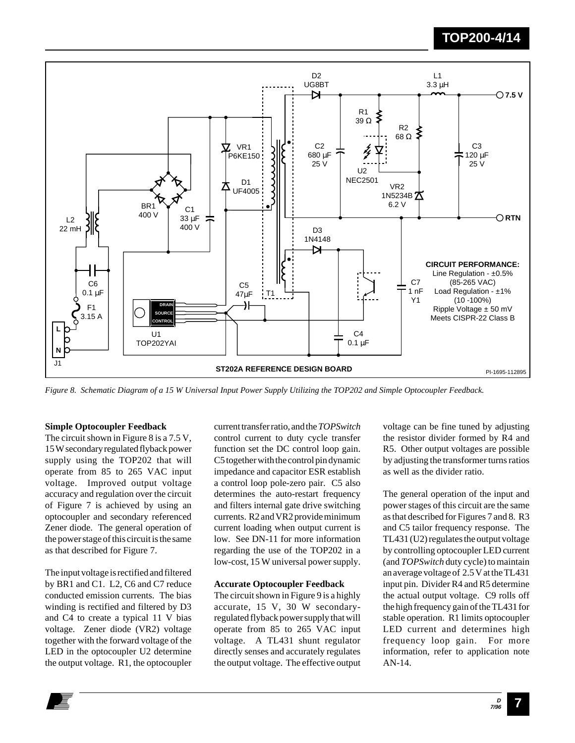

*Figure 8. Schematic Diagram of a 15 W Universal Input Power Supply Utilizing the TOP202 and Simple Optocoupler Feedback.*

#### **Simple Optocoupler Feedback**

The circuit shown in Figure 8 is a 7.5 V, 15 W secondary regulated flyback power supply using the TOP202 that will operate from 85 to 265 VAC input voltage. Improved output voltage accuracy and regulation over the circuit of Figure 7 is achieved by using an optocoupler and secondary referenced Zener diode. The general operation of the power stage of this circuit is the same as that described for Figure 7.

The input voltage is rectified and filtered by BR1 and C1. L2, C6 and C7 reduce conducted emission currents. The bias winding is rectified and filtered by D3 and C4 to create a typical 11 V bias voltage. Zener diode (VR2) voltage together with the forward voltage of the LED in the optocoupler U2 determine the output voltage. R1, the optocoupler

current transfer ratio, and the *TOPSwitch* control current to duty cycle transfer function set the DC control loop gain. C5 together with the control pin dynamic impedance and capacitor ESR establish a control loop pole-zero pair. C5 also determines the auto-restart frequency and filters internal gate drive switching currents. R2 and VR2 provide minimum current loading when output current is low. See DN-11 for more information regarding the use of the TOP202 in a low-cost, 15 W universal power supply.

#### **Accurate Optocoupler Feedback**

The circuit shown in Figure 9 is a highly accurate, 15 V, 30 W secondaryregulated flyback power supply that will operate from 85 to 265 VAC input voltage. A TL431 shunt regulator directly senses and accurately regulates the output voltage. The effective output voltage can be fine tuned by adjusting the resistor divider formed by R4 and R5. Other output voltages are possible by adjusting the transformer turns ratios as well as the divider ratio.

The general operation of the input and power stages of this circuit are the same as that described for Figures 7 and 8. R3 and C5 tailor frequency response. The TL431 (U2) regulates the output voltage by controlling optocoupler LED current (and *TOPSwitch* duty cycle) to maintain an average voltage of 2.5 V at the TL431 input pin. Divider R4 and R5 determine the actual output voltage. C9 rolls off the high frequency gain of the TL431 for stable operation. R1 limits optocoupler LED current and determines high frequency loop gain. For more information, refer to application note AN-14.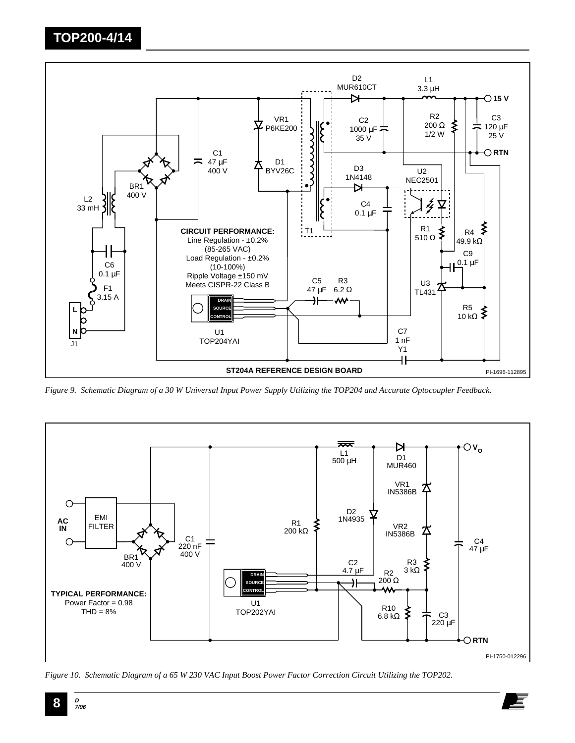

*Figure 9. Schematic Diagram of a 30 W Universal Input Power Supply Utilizing the TOP204 and Accurate Optocoupler Feedback.*



*Figure 10. Schematic Diagram of a 65 W 230 VAC Input Boost Power Factor Correction Circuit Utilizing the TOP202.*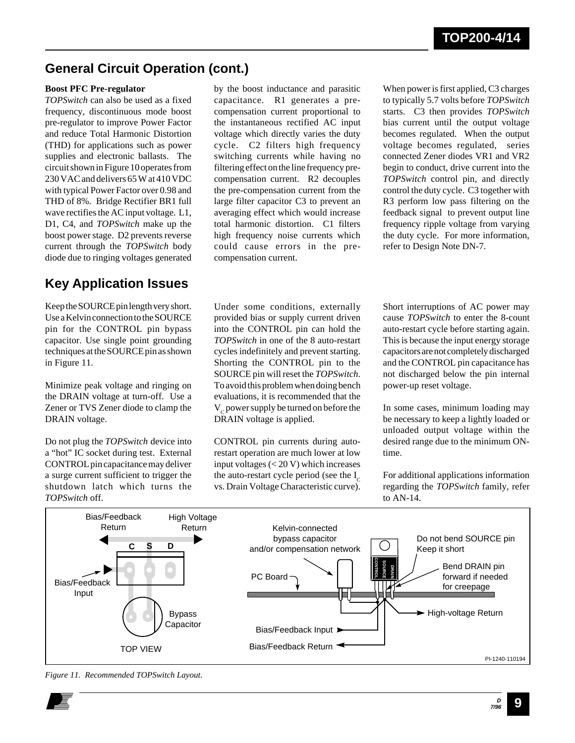### **General Circuit Operation (cont.)**

#### **Boost PFC Pre-regulator**

*TOPSwitch* can also be used as a fixed frequency, discontinuous mode boost pre-regulator to improve Power Factor and reduce Total Harmonic Distortion (THD) for applications such as power supplies and electronic ballasts. The circuit shown in Figure 10 operates from 230 VAC and delivers 65 W at 410 VDC with typical Power Factor over 0.98 and THD of 8%. Bridge Rectifier BR1 full wave rectifies the AC input voltage. L1, D1, C4, and *TOPSwitch* make up the boost power stage. D2 prevents reverse current through the *TOPSwitch* body diode due to ringing voltages generated

### **Key Application Issues**

Keep the SOURCE pin length very short. Use a Kelvin connection to the SOURCE pin for the CONTROL pin bypass capacitor. Use single point grounding techniques at the SOURCE pin as shown in Figure 11.

Minimize peak voltage and ringing on the DRAIN voltage at turn-off. Use a Zener or TVS Zener diode to clamp the DRAIN voltage.

Do not plug the *TOPSwitch* device into a "hot" IC socket during test. External CONTROL pin capacitance may deliver a surge current sufficient to trigger the shutdown latch which turns the *TOPSwitch* off.

by the boost inductance and parasitic capacitance. R1 generates a precompensation current proportional to the instantaneous rectified AC input voltage which directly varies the duty cycle. C2 filters high frequency switching currents while having no filtering effect on the line frequency precompensation current. R2 decouples the pre-compensation current from the large filter capacitor C3 to prevent an averaging effect which would increase total harmonic distortion. C1 filters high frequency noise currents which could cause errors in the precompensation current.

When power is first applied, C3 charges to typically 5.7 volts before *TOPSwitch* starts. C3 then provides *TOPSwitch* bias current until the output voltage becomes regulated. When the output voltage becomes regulated, series connected Zener diodes VR1 and VR2 begin to conduct, drive current into the *TOPSwitch* control pin, and directly control the duty cycle. C3 together with R3 perform low pass filtering on the feedback signal to prevent output line frequency ripple voltage from varying the duty cycle. For more information, refer to Design Note DN-7.

Under some conditions, externally provided bias or supply current driven into the CONTROL pin can hold the *TOPSwitch* in one of the 8 auto-restart cycles indefinitely and prevent starting. Shorting the CONTROL pin to the SOURCE pin will reset the *TOPSwitch*. To avoid this problem when doing bench evaluations, it is recommended that the  $V_c$  power supply be turned on before the DRAIN voltage is applied.

CONTROL pin currents during autorestart operation are much lower at low input voltages (< 20 V) which increases the auto-restart cycle period (see the  $I_c$ vs. Drain Voltage Characteristic curve). Short interruptions of AC power may cause *TOPSwitch* to enter the 8-count auto-restart cycle before starting again. This is because the input energy storage capacitors are not completely discharged and the CONTROL pin capacitance has not discharged below the pin internal power-up reset voltage.

In some cases, minimum loading may be necessary to keep a lightly loaded or unloaded output voltage within the desired range due to the minimum ONtime.

For additional applications information regarding the *TOPSwitch* family, refer to AN-14.



*Figure 11. Recommended TOPSwitch Layout.*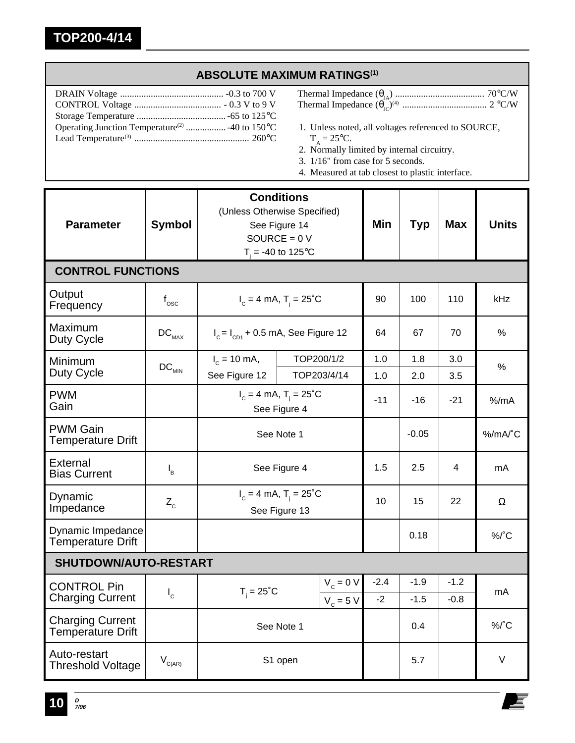### **ABSOLUTE MAXIMUM RATINGS(1)**

- Thermal Impedance (θJA) ...................................... 70°C/W Thermal Impedance (θJC) (4) .................................... 2 °C/W
- 1. Unless noted, all voltages referenced to SOURCE,  $T_A = 25$ °C.
- 2. Normally limited by internal circuitry.
- 3. 1/16" from case for 5 seconds.
- 4. Measured at tab closest to plastic interface.

| <b>Parameter</b>                                    | <b>Symbol</b>                | <b>Conditions</b><br>(Unless Otherwise Specified)<br>See Figure 14<br>SOURCE = $0 V$<br>$T_i = -40$ to 125°C |             |        | Min    | <b>Typ</b> | <b>Max</b> | <b>Units</b> |  |
|-----------------------------------------------------|------------------------------|--------------------------------------------------------------------------------------------------------------|-------------|--------|--------|------------|------------|--------------|--|
| <b>CONTROL FUNCTIONS</b>                            |                              |                                                                                                              |             |        |        |            |            |              |  |
| Output<br>Frequency                                 | $f_{\rm osc}$                | $I_c = 4$ mA, T <sub>i</sub> = 25 <sup>°</sup> C                                                             |             |        | 90     | 100        | 110        | kHz          |  |
| Maximum<br>Duty Cycle                               | $\mathsf{DC}_{\mathsf{MAX}}$ | $I_c = I_{c01} + 0.5$ mA, See Figure 12                                                                      |             |        | 64     | 67         | 70         | %            |  |
| Minimum                                             | $DC_{MIN}$                   | $I_c = 10$ mA,                                                                                               | TOP200/1/2  |        | 1.0    | 1.8        | 3.0        | %            |  |
| Duty Cycle                                          |                              | See Figure 12<br>TOP203/4/14                                                                                 |             |        | 1.0    | 2.0        | 3.5        |              |  |
| <b>PWM</b><br>Gain                                  |                              | $I_c = 4$ mA, $T_i = 25^{\circ}C$<br>See Figure 4                                                            |             |        | $-11$  | $-16$      | $-21$      | $%$ /mA      |  |
| <b>PWM Gain</b><br><b>Temperature Drift</b>         |                              | See Note 1                                                                                                   |             |        |        | $-0.05$    |            | %/mA/°C      |  |
| External<br><b>Bias Current</b>                     | $I_{B}$                      | See Figure 4                                                                                                 |             | 1.5    | 2.5    | 4          | mA         |              |  |
| Dynamic<br>Impedance                                | $Z_c$                        | $I_c = 4$ mA, $T_i = 25^{\circ}C$<br>See Figure 13                                                           |             |        | 10     | 15         | 22         | Ω            |  |
| Dynamic Impedance<br><b>Temperature Drift</b>       |                              |                                                                                                              |             |        | 0.18   |            | $%$ $C$    |              |  |
| <b>SHUTDOWN/AUTO-RESTART</b>                        |                              |                                                                                                              |             |        |        |            |            |              |  |
| <b>CONTROL Pin</b>                                  | $I_c$                        | $T_i = 25^{\circ}C$                                                                                          | $V_c = 0 V$ | $-2.4$ | $-1.9$ | $-1.2$     | mA         |              |  |
| <b>Charging Current</b>                             |                              |                                                                                                              | $V_c = 5 V$ | $-2$   | $-1.5$ | $-0.8$     |            |              |  |
| <b>Charging Current</b><br><b>Temperature Drift</b> |                              | See Note 1                                                                                                   |             |        | 0.4    |            | %/°C       |              |  |
| Auto-restart<br><b>Threshold Voltage</b>            | $V_{C(AR)}$                  | S1 open                                                                                                      |             |        | 5.7    |            | V          |              |  |

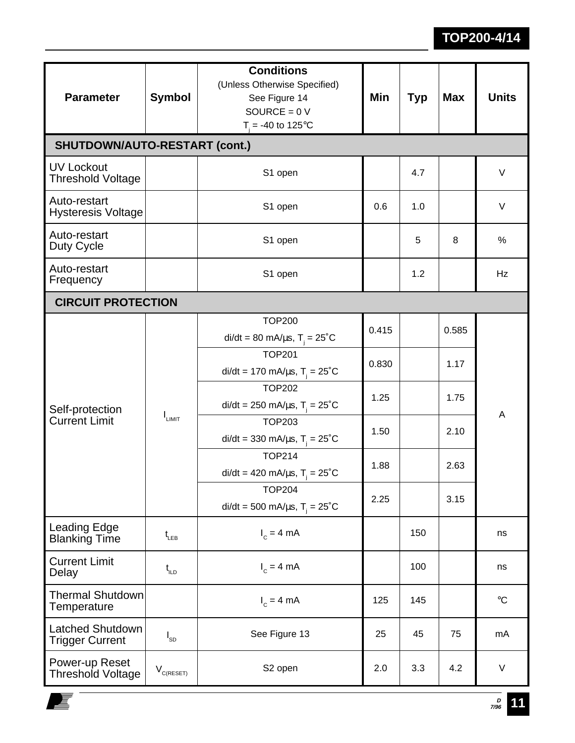| <b>Parameter</b>                                  | <b>Symbol</b>                             | <b>Conditions</b><br>(Unless Otherwise Specified)<br>See Figure 14<br>SOURCE = $0V$<br>$T = -40$ to 125°C | <b>Min</b> | Typ | <b>Max</b> | <b>Units</b>    |  |  |  |
|---------------------------------------------------|-------------------------------------------|-----------------------------------------------------------------------------------------------------------|------------|-----|------------|-----------------|--|--|--|
| <b>SHUTDOWN/AUTO-RESTART (cont.)</b>              |                                           |                                                                                                           |            |     |            |                 |  |  |  |
| <b>UV Lockout</b><br><b>Threshold Voltage</b>     |                                           | S1 open                                                                                                   |            | 4.7 |            | $\vee$          |  |  |  |
| Auto-restart<br><b>Hysteresis Voltage</b>         |                                           | S1 open                                                                                                   |            | 1.0 |            | V               |  |  |  |
| Auto-restart<br>Duty Cycle                        |                                           | S1 open                                                                                                   |            | 5   | 8          | $\%$            |  |  |  |
| Auto-restart<br>Frequency                         |                                           | S1 open                                                                                                   |            | 1.2 |            | Hz              |  |  |  |
| <b>CIRCUIT PROTECTION</b>                         |                                           |                                                                                                           |            |     |            |                 |  |  |  |
| Self-protection<br><b>Current Limit</b>           | I <sub>LIMIT</sub>                        | <b>TOP200</b><br>di/dt = 80 mA/ $\mu$ s, T <sub>i</sub> = 25 <sup>°</sup> C                               | 0.415      |     |            |                 |  |  |  |
|                                                   |                                           | <b>TOP201</b><br>di/dt = 170 mA/ $\mu$ s, T <sub>i</sub> = 25 <sup>°</sup> C                              | 0.830      |     | 1.17       | A               |  |  |  |
|                                                   |                                           | <b>TOP202</b><br>di/dt = 250 mA/ $\mu$ s, T <sub>i</sub> = 25 <sup>°</sup> C                              | 1.25       |     | 1.75       |                 |  |  |  |
|                                                   |                                           | <b>TOP203</b><br>di/dt = 330 mA/ $\mu$ s, T <sub>i</sub> = 25 <sup>°</sup> C                              | 1.50       |     | 2.10       |                 |  |  |  |
|                                                   |                                           | <b>TOP214</b><br>di/dt = 420 mA/ $\mu$ s, T <sub>i</sub> = 25 <sup>°</sup> C                              | 1.88       |     | 2.63       |                 |  |  |  |
|                                                   |                                           | <b>TOP204</b><br>di/dt = 500 mA/ $\mu$ s, T <sub>i</sub> = 25 <sup>°</sup> C                              | 2.25       |     | 3.15       |                 |  |  |  |
| Leading Edge<br><b>Blanking Time</b>              | $t_{LEB}$                                 | $I_c = 4$ mA                                                                                              |            | 150 |            | ns              |  |  |  |
| <b>Current Limit</b><br>Delay                     | $t_{\text{\tiny{ILD}}}$                   | $I_c = 4 mA$                                                                                              |            | 100 |            | ns              |  |  |  |
| <b>Thermal Shutdown</b><br>Temperature            |                                           | $I_c = 4 mA$                                                                                              | 125        | 145 |            | $\rm ^{\circ}C$ |  |  |  |
| <b>Latched Shutdown</b><br><b>Trigger Current</b> | $I_{SD}$                                  | See Figure 13                                                                                             | 25         | 45  | 75         | mA              |  |  |  |
| Power-up Reset<br><b>Threshold Voltage</b>        | $\mathsf{V}_{\mathsf{C}(\mathsf{RESET})}$ | S2 open                                                                                                   | 2.0        | 3.3 | 4.2        | V               |  |  |  |

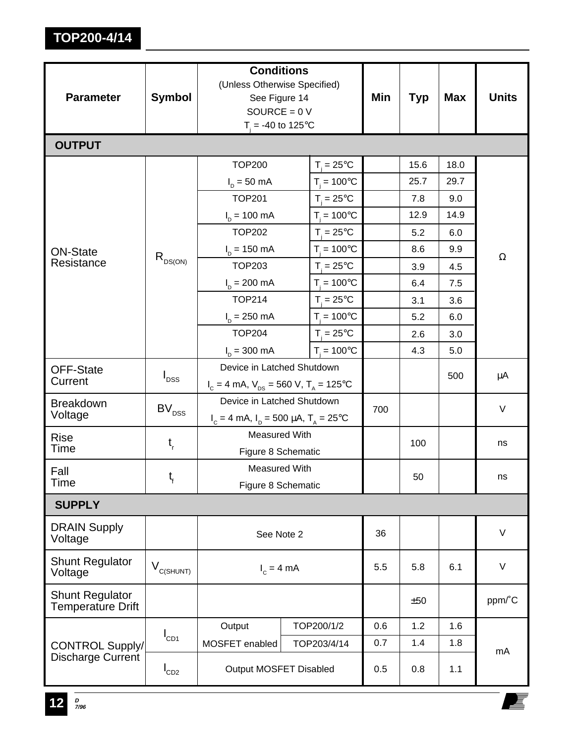| <b>Parameter</b>                                   | <b>Symbol</b>              | <b>Conditions</b><br>(Unless Otherwise Specified)<br>See Figure 14<br>SOURCE = $0 V$ | Min                          | <b>Typ</b> | <b>Max</b> | <b>Units</b> |          |  |
|----------------------------------------------------|----------------------------|--------------------------------------------------------------------------------------|------------------------------|------------|------------|--------------|----------|--|
| <b>OUTPUT</b>                                      |                            | $T_i = -40$ to 125°C                                                                 |                              |            |            |              |          |  |
|                                                    |                            | <b>TOP200</b>                                                                        | $T_i = 25^{\circ}C$          |            | 15.6       | 18.0         |          |  |
|                                                    |                            | $I_p = 50$ mA                                                                        | $T_i = 100^{\circ}C$         |            | 25.7       | 29.7         | $\Omega$ |  |
|                                                    |                            | <b>TOP201</b>                                                                        | $T_{\text{I}} = 25^{\circ}C$ |            | 7.8        | 9.0          |          |  |
|                                                    |                            | $I_p = 100 \text{ mA}$                                                               | $T_i = 100^{\circ}C$         |            | 12.9       | 14.9         |          |  |
|                                                    |                            | <b>TOP202</b>                                                                        | $T_{\text{I}} = 25^{\circ}C$ |            | 5.2        | 6.0          |          |  |
| <b>ON-State</b>                                    |                            | $I_p = 150 \text{ mA}$                                                               | $T_i = 100^{\circ}C$         |            | 8.6        | 9.9          |          |  |
| Resistance                                         | $R_{DS(ON)}$               | <b>TOP203</b>                                                                        | $T_{\text{I}} = 25^{\circ}C$ |            | 3.9        | 4.5          |          |  |
|                                                    |                            | $I_p = 200 \text{ mA}$                                                               | $T_{\rm i} = 100^{\circ}$ C  |            | 6.4        | 7.5          |          |  |
|                                                    |                            | <b>TOP214</b>                                                                        | $T = 25^{\circ}C$            |            | 3.1        | 3.6          |          |  |
|                                                    |                            | $I_n = 250$ mA                                                                       | $T_i = 100^{\circ}C$         |            | 5.2        | 6.0          |          |  |
|                                                    |                            | <b>TOP204</b>                                                                        | $T_{\text{I}} = 25^{\circ}C$ |            | 2.6        | 3.0          |          |  |
|                                                    |                            | $I_p = 300 \text{ mA}$                                                               | $T_{1} = 100^{\circ}C$       |            | 4.3        | 5.0          |          |  |
| <b>OFF-State</b>                                   | $I_{DSS}$                  | Device in Latched Shutdown                                                           |                              |            | 500        | μA           |          |  |
| Current                                            |                            | $I_c = 4$ mA, $V_{DS} = 560$ V, $T_A = 125$ °C                                       |                              |            |            |              |          |  |
| <b>Breakdown</b>                                   | $\mathsf{BV}_\mathsf{DSS}$ | Device in Latched Shutdown                                                           |                              | 700        |            |              | V        |  |
| Voltage                                            |                            | $I_c = 4$ mA, $I_p = 500 \mu A$ , $T_A = 25^{\circ}C$                                |                              |            |            |              |          |  |
| <b>Rise</b><br>Time                                | $t_{\rm r}$                | <b>Measured With</b>                                                                 |                              |            | 100        |              | ns       |  |
|                                                    |                            | Figure 8 Schematic                                                                   |                              |            |            |              |          |  |
| Fall<br>Time                                       | $t_{f}$                    | <b>Measured With</b>                                                                 |                              |            | 50         |              | ns       |  |
|                                                    |                            | Figure 8 Schematic                                                                   |                              |            |            |              |          |  |
| <b>SUPPLY</b>                                      |                            |                                                                                      |                              |            |            |              |          |  |
| <b>DRAIN Supply</b><br>Voltage                     |                            | See Note 2                                                                           |                              | 36         |            |              | V        |  |
| <b>Shunt Regulator</b><br>Voltage                  | $V_{C(SHUNT)}$             | $I_c = 4 mA$                                                                         | 5.5                          | 5.8        | 6.1        | V            |          |  |
| <b>Shunt Regulator</b><br><b>Temperature Drift</b> |                            |                                                                                      |                              |            | ±50        |              | ppm/°C   |  |
|                                                    | $I_{CD1}$                  | Output                                                                               | TOP200/1/2                   | 0.6        | 1.2        | 1.6          |          |  |
| <b>CONTROL Supply/</b>                             |                            | MOSFET enabled<br>TOP203/4/14                                                        |                              | 0.7        | 1.4        | 1.8          | mA       |  |
| Discharge Current                                  | $I_{CD2}$                  | Output MOSFET Disabled                                                               | 0.5                          | 0.8        | 1.1        |              |          |  |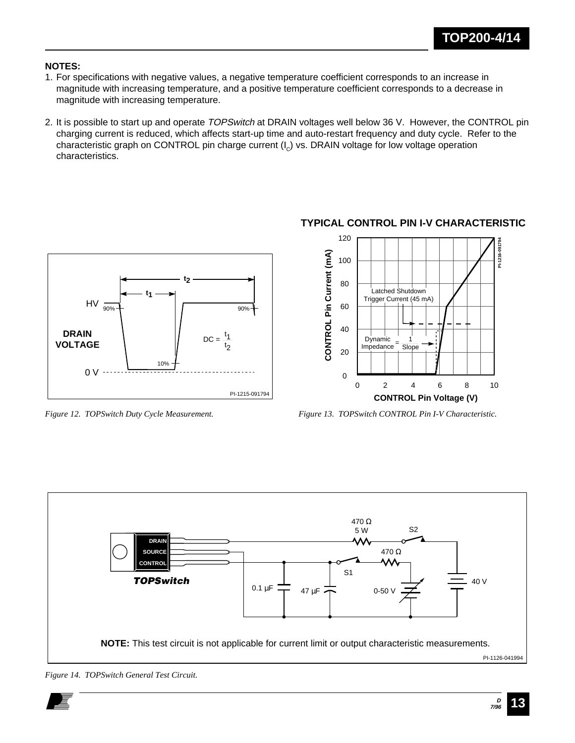#### **NOTES:**

- 1. For specifications with negative values, a negative temperature coefficient corresponds to an increase in magnitude with increasing temperature, and a positive temperature coefficient corresponds to a decrease in magnitude with increasing temperature.
- 2. It is possible to start up and operate TOPSwitch at DRAIN voltages well below 36 V. However, the CONTROL pin charging current is reduced, which affects start-up time and auto-restart frequency and duty cycle. Refer to the characteristic graph on CONTROL pin charge current  $(I<sub>c</sub>)$  vs. DRAIN voltage for low voltage operation characteristics.



### **TYPICAL CONTROL PIN I-V CHARACTERISTIC**



*Figure 12. TOPSwitch Duty Cycle Measurement. Figure 13. TOPSwitch CONTROL Pin I-V Characteristic.*



*Figure 14. TOPSwitch General Test Circuit.*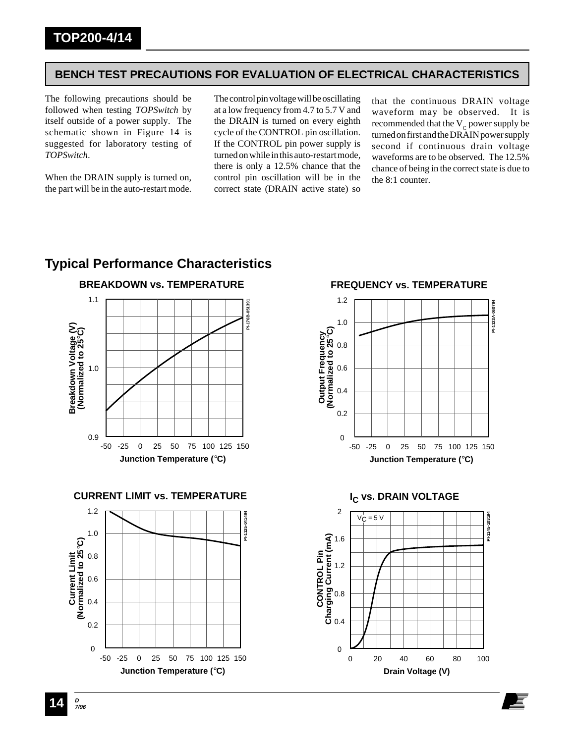#### **BENCH TEST PRECAUTIONS FOR EVALUATION OF ELECTRICAL CHARACTERISTICS**

The following precautions should be followed when testing *TOPSwitch* by itself outside of a power supply. The schematic shown in Figure 14 is suggested for laboratory testing of *TOPSwitch*.

When the DRAIN supply is turned on, the part will be in the auto-restart mode.

The control pin voltage will be oscillating at a low frequency from 4.7 to 5.7 V and the DRAIN is turned on every eighth cycle of the CONTROL pin oscillation. If the CONTROL pin power supply is turned on while in this auto-restart mode, there is only a 12.5% chance that the control pin oscillation will be in the correct state (DRAIN active state) so

that the continuous DRAIN voltage waveform may be observed. It is recommended that the  $V_c$  power supply be turned on first and the DRAIN power supply second if continuous drain voltage waveforms are to be observed. The 12.5% chance of being in the correct state is due to the 8:1 counter.

### **Typical Performance Characteristics**



**CURRENT LIMIT vs. TEMPERATURE**



**FREQUENCY vs. TEMPERATURE**



**Drain Voltage (V)**

**<sup>D</sup> 14 7/96**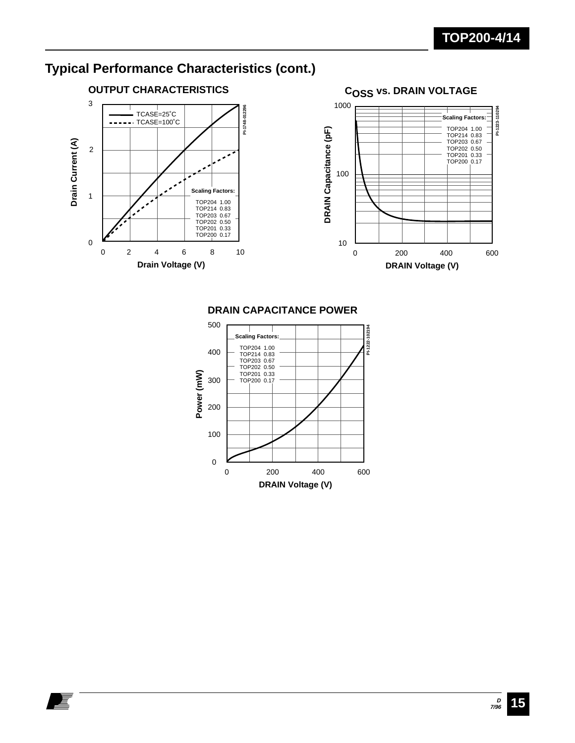

E





#### **DRAIN CAPACITANCE POWER**